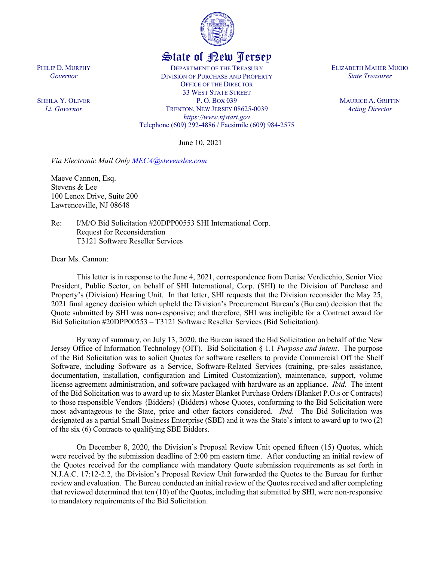

## State of New Jersey

DEPARTMENT OF THE TREASURY DIVISION OF PURCHASE AND PROPERTY OFFICE OF THE DIRECTOR 33 WEST STATE STREET P. O. BOX 039 TRENTON, NEW JERSEY 08625-0039 *https://www.njstart.gov* Telephone (609) 292-4886 / Facsimile (609) 984-2575

June 10, 2021

*Via Electronic Mail Only [MECA@stevenslee.com](mailto:MECA@stevenslee.com)*

Maeve Cannon, Esq. Stevens & Lee 100 Lenox Drive, Suite 200 Lawrenceville, NJ 08648

Re: I/M/O Bid Solicitation #20DPP00553 SHI International Corp. Request for Reconsideration T3121 Software Reseller Services

Dear Ms. Cannon:

PHILIP D. MURPHY *Governor*

SHEILA Y. OLIVER *Lt. Governor*

> This letter is in response to the June 4, 2021, correspondence from Denise Verdicchio, Senior Vice President, Public Sector, on behalf of SHI International, Corp. (SHI) to the Division of Purchase and Property's (Division) Hearing Unit. In that letter, SHI requests that the Division reconsider the May 25, 2021 final agency decision which upheld the Division's Procurement Bureau's (Bureau) decision that the Quote submitted by SHI was non-responsive; and therefore, SHI was ineligible for a Contract award for Bid Solicitation #20DPP00553 – T3121 Software Reseller Services (Bid Solicitation).

> By way of summary, on July 13, 2020, the Bureau issued the Bid Solicitation on behalf of the New Jersey Office of Information Technology (OIT). Bid Solicitation § 1.1 *Purpose and Intent*. The purpose of the Bid Solicitation was to solicit Quotes for software resellers to provide Commercial Off the Shelf Software, including Software as a Service, Software-Related Services (training, pre-sales assistance, documentation, installation, configuration and Limited Customization), maintenance, support, volume license agreement administration, and software packaged with hardware as an appliance. *Ibid.* The intent of the Bid Solicitation was to award up to six Master Blanket Purchase Orders (Blanket P.O.s or Contracts) to those responsible Vendors {Bidders} (Bidders) whose Quotes, conforming to the Bid Solicitation were most advantageous to the State, price and other factors considered. *Ibid.* The Bid Solicitation was designated as a partial Small Business Enterprise (SBE) and it was the State's intent to award up to two (2) of the six (6) Contracts to qualifying SBE Bidders.

> On December 8, 2020, the Division's Proposal Review Unit opened fifteen (15) Quotes, which were received by the submission deadline of 2:00 pm eastern time. After conducting an initial review of the Quotes received for the compliance with mandatory Quote submission requirements as set forth in N.J.A.C. 17:12-2.2, the Division's Proposal Review Unit forwarded the Quotes to the Bureau for further review and evaluation. The Bureau conducted an initial review of the Quotes received and after completing that reviewed determined that ten (10) of the Quotes, including that submitted by SHI, were non-responsive to mandatory requirements of the Bid Solicitation.

ELIZABETH MAHER MUOIO *State Treasurer*

> MAURICE A. GRIFFIN *Acting Director*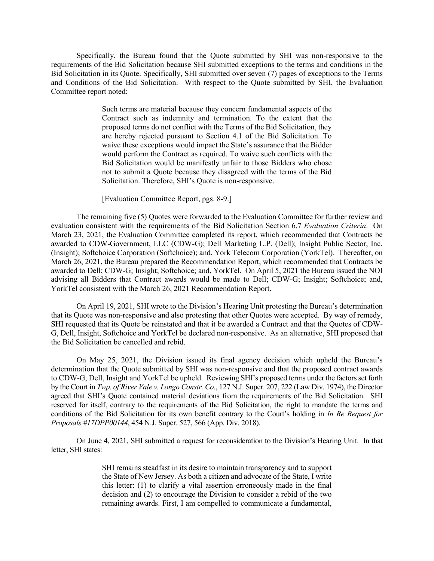Specifically, the Bureau found that the Quote submitted by SHI was non-responsive to the requirements of the Bid Solicitation because SHI submitted exceptions to the terms and conditions in the Bid Solicitation in its Quote. Specifically, SHI submitted over seven (7) pages of exceptions to the Terms and Conditions of the Bid Solicitation. With respect to the Quote submitted by SHI, the Evaluation Committee report noted:

> Such terms are material because they concern fundamental aspects of the Contract such as indemnity and termination. To the extent that the proposed terms do not conflict with the Terms of the Bid Solicitation, they are hereby rejected pursuant to Section 4.1 of the Bid Solicitation. To waive these exceptions would impact the State's assurance that the Bidder would perform the Contract as required. To waive such conflicts with the Bid Solicitation would be manifestly unfair to those Bidders who chose not to submit a Quote because they disagreed with the terms of the Bid Solicitation. Therefore, SHI's Quote is non-responsive.

[Evaluation Committee Report, pgs. 8-9.]

The remaining five (5) Quotes were forwarded to the Evaluation Committee for further review and evaluation consistent with the requirements of the Bid Solicitation Section 6.7 *Evaluation Criteria*. On March 23, 2021, the Evaluation Committee completed its report, which recommended that Contracts be awarded to CDW-Government, LLC (CDW-G); Dell Marketing L.P. (Dell); Insight Public Sector, Inc. (Insight); Softchoice Corporation (Softchoice); and, York Telecom Corporation (YorkTel). Thereafter, on March 26, 2021, the Bureau prepared the Recommendation Report, which recommended that Contracts be awarded to Dell; CDW-G; Insight; Softchoice; and, YorkTel. On April 5, 2021 the Bureau issued the NOI advising all Bidders that Contract awards would be made to Dell; CDW-G; Insight; Softchoice; and, YorkTel consistent with the March 26, 2021 Recommendation Report.

On April 19, 2021, SHI wrote to the Division's Hearing Unit protesting the Bureau's determination that its Quote was non-responsive and also protesting that other Quotes were accepted. By way of remedy, SHI requested that its Quote be reinstated and that it be awarded a Contract and that the Quotes of CDW-G, Dell, Insight, Softchoice and YorkTel be declared non-responsive. As an alternative, SHI proposed that the Bid Solicitation be cancelled and rebid.

On May 25, 2021, the Division issued its final agency decision which upheld the Bureau's determination that the Quote submitted by SHI was non-responsive and that the proposed contract awards to CDW-G, Dell, Insight and YorkTel be upheld. Reviewing SHI's proposed terms under the factors set forth by the Court in *Twp. of River Vale v. Longo Constr. Co.*, 127 N.J. Super. 207, 222 (Law Div. 1974), the Director agreed that SHI's Quote contained material deviations from the requirements of the Bid Solicitation. SHI reserved for itself, contrary to the requirements of the Bid Solicitation, the right to mandate the terms and conditions of the Bid Solicitation for its own benefit contrary to the Court's holding in *In Re Request for Proposals #17DPP00144*, 454 N.J. Super. 527, 566 (App. Div. 2018).

On June 4, 2021, SHI submitted a request for reconsideration to the Division's Hearing Unit. In that letter, SHI states:

> SHI remains steadfast in its desire to maintain transparency and to support the State of New Jersey. As both a citizen and advocate of the State, I write this letter: (1) to clarify a vital assertion erroneously made in the final decision and (2) to encourage the Division to consider a rebid of the two remaining awards. First, I am compelled to communicate a fundamental,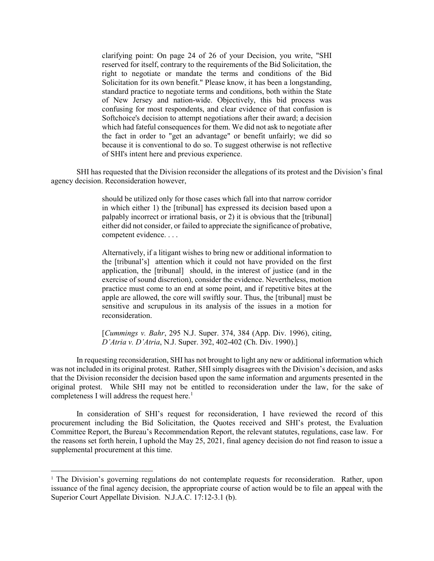clarifying point: On page 24 of 26 of your Decision, you write, "SHI reserved for itself, contrary to the requirements of the Bid Solicitation, the right to negotiate or mandate the terms and conditions of the Bid Solicitation for its own benefit." Please know, it has been a longstanding, standard practice to negotiate terms and conditions, both within the State of New Jersey and nation-wide. Objectively, this bid process was confusing for most respondents, and clear evidence of that confusion is Softchoice's decision to attempt negotiations after their award; a decision which had fateful consequences for them. We did not ask to negotiate after the fact in order to "get an advantage" or benefit unfairly; we did so because it is conventional to do so. To suggest otherwise is not reflective of SHI's intent here and previous experience.

SHI has requested that the Division reconsider the allegations of its protest and the Division's final agency decision. Reconsideration however,

> should be utilized only for those cases which fall into that narrow corridor in which either 1) the [tribunal] has expressed its decision based upon a palpably incorrect or irrational basis, or 2) it is obvious that the [tribunal] either did not consider, or failed to appreciate the significance of probative, competent evidence. . . .

> Alternatively, if a litigant wishes to bring new or additional information to the [tribunal's] attention which it could not have provided on the first application, the [tribunal] should, in the interest of justice (and in the exercise of sound discretion), consider the evidence. Nevertheless, motion practice must come to an end at some point, and if repetitive bites at the apple are allowed, the core will swiftly sour. Thus, the [tribunal] must be sensitive and scrupulous in its analysis of the issues in a motion for reconsideration.

> [*Cummings v. Bahr*, 295 N.J. Super. 374, 384 (App. Div. 1996), citing, *D'Atria v. D'Atria*, N.J. Super. 392, 402-402 (Ch. Div. 1990).]

In requesting reconsideration, SHI has not brought to light any new or additional information which was not included in its original protest. Rather, SHI simply disagrees with the Division's decision, and asks that the Division reconsider the decision based upon the same information and arguments presented in the original protest. While SHI may not be entitled to reconsideration under the law, for the sake of completeness I will address the request here. [1](#page-2-0)

In consideration of SHI's request for reconsideration, I have reviewed the record of this procurement including the Bid Solicitation, the Quotes received and SHI's protest, the Evaluation Committee Report, the Bureau's Recommendation Report, the relevant statutes, regulations, case law. For the reasons set forth herein, I uphold the May 25, 2021, final agency decision do not find reason to issue a supplemental procurement at this time.

l

<span id="page-2-0"></span><sup>&</sup>lt;sup>1</sup> The Division's governing regulations do not contemplate requests for reconsideration. Rather, upon issuance of the final agency decision, the appropriate course of action would be to file an appeal with the Superior Court Appellate Division. N.J.A.C. 17:12-3.1 (b).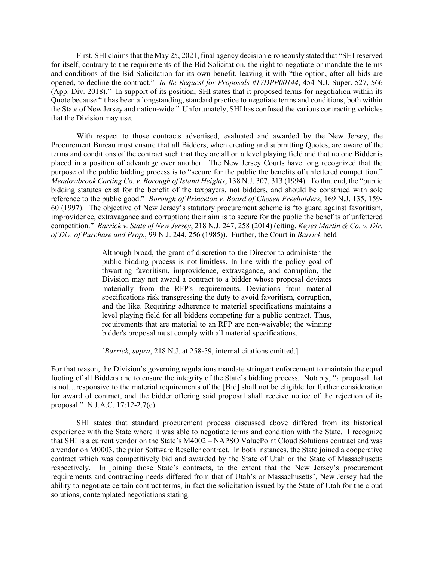First, SHI claims that the May 25, 2021, final agency decision erroneously stated that "SHI reserved for itself, contrary to the requirements of the Bid Solicitation, the right to negotiate or mandate the terms and conditions of the Bid Solicitation for its own benefit, leaving it with "the option, after all bids are opened, to decline the contract." *In Re Request for Proposals #17DPP00144*, 454 N.J. Super. 527, 566 (App. Div. 2018)." In support of its position, SHI states that it proposed terms for negotiation within its Quote because "it has been a longstanding, standard practice to negotiate terms and conditions, both within the State of New Jersey and nation-wide." Unfortunately, SHI has confused the various contracting vehicles that the Division may use.

With respect to those contracts advertised, evaluated and awarded by the New Jersey, the Procurement Bureau must ensure that all Bidders, when creating and submitting Quotes, are aware of the terms and conditions of the contract such that they are all on a level playing field and that no one Bidder is placed in a position of advantage over another. The New Jersey Courts have long recognized that the purpose of the public bidding process is to "secure for the public the benefits of unfettered competition." *Meadowbrook Carting Co. v. Borough of Island Heights*, 138 N.J. 307, 313 (1994). To that end, the "public bidding statutes exist for the benefit of the taxpayers, not bidders, and should be construed with sole reference to the public good." *Borough of Princeton v. Board of Chosen Freeholders*, 169 N.J. 135, 159- 60 (1997). The objective of New Jersey's statutory procurement scheme is "to guard against favoritism, improvidence, extravagance and corruption; their aim is to secure for the public the benefits of unfettered competition." *Barrick v. State of New Jersey*, 218 N.J. 247, 258 (2014) (citing, *Keyes Martin & Co. v. Dir. of Div. of Purchase and Prop.*, 99 N.J. 244, 256 (1985)). Further, the Court in *Barrick* held

> Although broad, the grant of discretion to the Director to administer the public bidding process is not limitless. In line with the policy goal of thwarting favoritism, improvidence, extravagance, and corruption, the Division may not award a contract to a bidder whose proposal deviates materially from the RFP's requirements. Deviations from material specifications risk transgressing the duty to avoid favoritism, corruption, and the like. Requiring adherence to material specifications maintains a level playing field for all bidders competing for a public contract. Thus, requirements that are material to an RFP are non-waivable; the winning bidder's proposal must comply with all material specifications.

[*Barrick*, *supra*, 218 N.J. at 258-59, internal citations omitted.]

For that reason, the Division's governing regulations mandate stringent enforcement to maintain the equal footing of all Bidders and to ensure the integrity of the State's bidding process. Notably, "a proposal that is not…responsive to the material requirements of the [Bid] shall not be eligible for further consideration for award of contract, and the bidder offering said proposal shall receive notice of the rejection of its proposal." N.J.A.C. 17:12-2.7(c).

SHI states that standard procurement process discussed above differed from its historical experience with the State where it was able to negotiate terms and condition with the State. I recognize that SHI is a current vendor on the State's M4002 – NAPSO ValuePoint Cloud Solutions contract and was a vendor on M0003, the prior Software Reseller contract. In both instances, the State joined a cooperative contract which was competitively bid and awarded by the State of Utah or the State of Massachusetts respectively. In joining those State's contracts, to the extent that the New Jersey's procurement requirements and contracting needs differed from that of Utah's or Massachusetts', New Jersey had the ability to negotiate certain contract terms, in fact the solicitation issued by the State of Utah for the cloud solutions, contemplated negotiations stating: